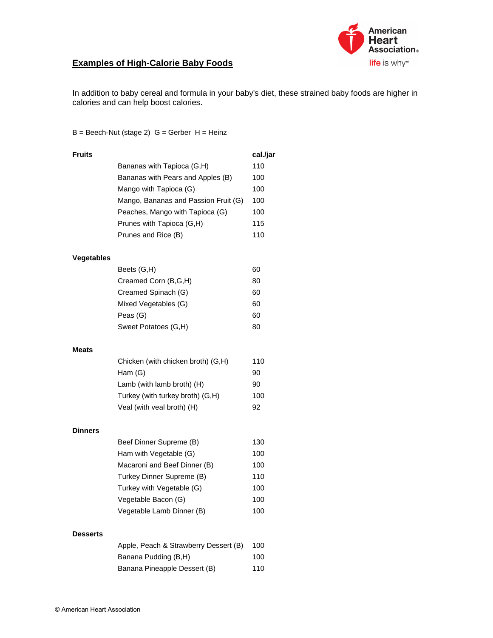

## **Examples of High-Calorie Baby Foods**

In addition to baby cereal and formula in your baby's diet, these strained baby foods are higher in calories and can help boost calories.

 $B = Beech-Nut$  (stage 2)  $G = Gerber H = Heinz$ 

| <b>Fruits</b>     |                                       | cal./jar |
|-------------------|---------------------------------------|----------|
|                   | Bananas with Tapioca (G,H)            | 110      |
|                   | Bananas with Pears and Apples (B)     | 100      |
|                   | Mango with Tapioca (G)                | 100      |
|                   | Mango, Bananas and Passion Fruit (G)  | 100      |
|                   | Peaches, Mango with Tapioca (G)       | 100      |
|                   | Prunes with Tapioca (G,H)             | 115      |
|                   | Prunes and Rice (B)                   | 110      |
| <b>Vegetables</b> |                                       |          |
|                   | Beets (G,H)                           | 60       |
|                   | Creamed Corn (B,G,H)                  | 80       |
|                   | Creamed Spinach (G)                   | 60       |
|                   | Mixed Vegetables (G)                  | 60       |
|                   | Peas (G)                              | 60       |
|                   | Sweet Potatoes (G,H)                  | 80       |
| Meats             |                                       |          |
|                   | Chicken (with chicken broth) (G,H)    | 110      |
|                   | Ham $(G)$                             | 90       |
|                   | Lamb (with lamb broth) (H)            | 90       |
|                   | Turkey (with turkey broth) (G,H)      | 100      |
|                   | Veal (with veal broth) (H)            | 92       |
| <b>Dinners</b>    |                                       |          |
|                   | Beef Dinner Supreme (B)               | 130      |
|                   | Ham with Vegetable (G)                | 100      |
|                   | Macaroni and Beef Dinner (B)          | 100      |
|                   | Turkey Dinner Supreme (B)             | 110      |
|                   | Turkey with Vegetable (G)             | 100      |
|                   | Vegetable Bacon (G)                   | 100      |
|                   | Vegetable Lamb Dinner (B)             | 100      |
| <b>Desserts</b>   |                                       |          |
|                   | Apple, Peach & Strawberry Dessert (B) | 100      |
|                   | Banana Pudding (B,H)                  | 100      |
|                   | Banana Pineapple Dessert (B)          | 110      |